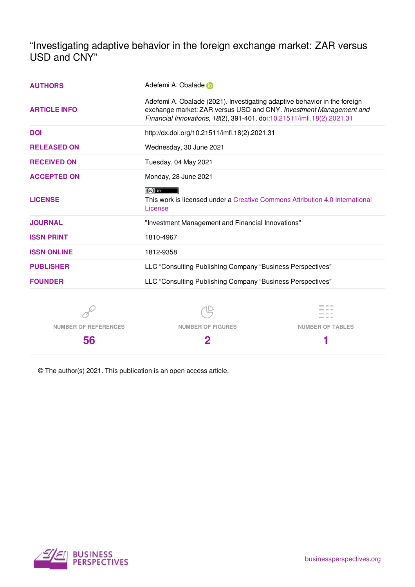"Investigating adaptive behavior in the foreign exchange market: ZAR versus USD and CNY"

| 56                          | 2                                                                                                                                                                                                                         |                         |  |  |  |
|-----------------------------|---------------------------------------------------------------------------------------------------------------------------------------------------------------------------------------------------------------------------|-------------------------|--|--|--|
| <b>NUMBER OF REFERENCES</b> | <b>NUMBER OF FIGURES</b>                                                                                                                                                                                                  | <b>NUMBER OF TABLES</b> |  |  |  |
|                             |                                                                                                                                                                                                                           |                         |  |  |  |
| <b>FOUNDER</b>              | LLC "Consulting Publishing Company "Business Perspectives"                                                                                                                                                                |                         |  |  |  |
| <b>PUBLISHER</b>            | LLC "Consulting Publishing Company "Business Perspectives"                                                                                                                                                                |                         |  |  |  |
| <b>ISSN ONLINE</b>          | 1812-9358                                                                                                                                                                                                                 |                         |  |  |  |
| <b>ISSN PRINT</b>           | 1810-4967                                                                                                                                                                                                                 |                         |  |  |  |
| <b>JOURNAL</b>              | "Investment Management and Financial Innovations"                                                                                                                                                                         |                         |  |  |  |
| <b>LICENSE</b>              | $(cc)$ BY<br>This work is licensed under a Creative Commons Attribution 4.0 International<br>License                                                                                                                      |                         |  |  |  |
| <b>ACCEPTED ON</b>          | Monday, 28 June 2021                                                                                                                                                                                                      |                         |  |  |  |
| <b>RECEIVED ON</b>          | Tuesday, 04 May 2021                                                                                                                                                                                                      |                         |  |  |  |
| <b>RELEASED ON</b>          | Wednesday, 30 June 2021                                                                                                                                                                                                   |                         |  |  |  |
| <b>DOI</b>                  | http://dx.doi.org/10.21511/imfi.18(2).2021.31                                                                                                                                                                             |                         |  |  |  |
| <b>ARTICLE INFO</b>         | Adefemi A. Obalade (2021). Investigating adaptive behavior in the foreign<br>exchange market: ZAR versus USD and CNY. Investment Management and<br>Financial Innovations, 18(2), 391-401. doi:10.21511/imfi.18(2).2021.31 |                         |  |  |  |
| <b>AUTHORS</b>              | Adefemi A. Obalade in                                                                                                                                                                                                     |                         |  |  |  |

© The author(s) 2021. This publication is an open access article.

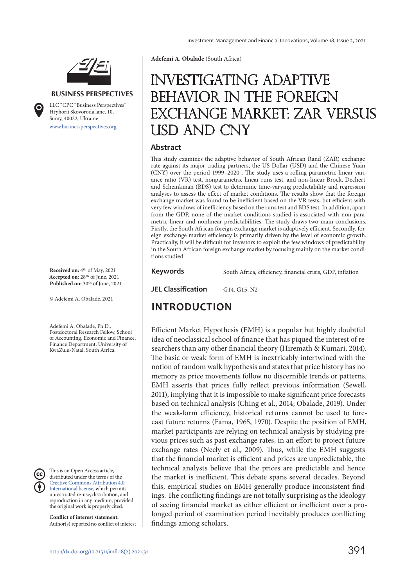

#### **BUSINESS PERSPECTIVES**

www.businessperspectives.org LLC "СPС "Business Perspectives" Hryhorii Skovoroda lane, 10, Sumy, 40022, Ukraine

**Received on:** 4th of May, 2021 **Accepted on:** 28th of June, 2021 Published on: 30<sup>th</sup> of June, 2021

© Adefemi A. Obalade, 2021

Adefemi A. Obalade, Ph.D., Postdoctoral Research Fellow, School of Accounting, Economic and Finance, Finance Department, University of KwaZulu-Natal, South Africa.



This is an Open Access article, distributed under the terms of the Creative Commons Attribution 4.0 International license, which permits unrestricted re-use, distribution, and reproduction in any medium, provided the original work is properly cited.

**Conflict of interest statement:**  Author(s) reported no conflict of interest **Adefemi A. Obalade** (South Africa)

# Investigating adaptive behavior in the foreign exchange market: ZAR versus USD and CNY

#### **Abstract**

This study examines the adaptive behavior of South African Rand (ZAR) exchange rate against its major trading partners, the US Dollar (USD) and the Chinese Yuan (CNY) over the period 1999–2020 . The study uses a rolling parametric linear variance ratio (VR) test, nonparametric linear runs test, and non-linear Brock, Dechert and Scheinkman (BDS) test to determine time-varying predictability and regression analyses to assess the effect of market conditions. The results show that the foreign exchange market was found to be inefficient based on the VR tests, but efficient with very few windows of inefficiency based on the runs test and BDS test. In addition, apart from the GDP, none of the market conditions studied is associated with non-parametric linear and nonlinear predictabilities. The study draws two main conclusions. Firstly, the South African foreign exchange market is adaptively efficient. Secondly, foreign exchange market efficiency is primarily driven by the level of economic growth. Practically, it will be difficult for investors to exploit the few windows of predictability in the South African foreign exchange market by focusing mainly on the market conditions studied.

**Keywords** South Africa, efficiency, financial crisis, GDP, inflation

**JEL Classification** G14, G15, N2

### **INTRODUCTION**

Efficient Market Hypothesis (EMH) is a popular but highly doubtful idea of neoclassical school of finance that has piqued the interest of researchers than any other financial theory (Hiremath & Kumari, 2014). The basic or weak form of EMH is inextricably intertwined with the notion of random walk hypothesis and states that price history has no memory as price movements follow no discernible trends or patterns. EMH asserts that prices fully reflect previous information (Sewell, 2011), implying that it is impossible to make significant price forecasts based on technical analysis (Ching et al., 2014; Obalade, 2019). Under the weak-form efficiency, historical returns cannot be used to forecast future returns (Fama, 1965, 1970). Despite the position of EMH, market participants are relying on technical analysis by studying previous prices such as past exchange rates, in an effort to project future exchange rates (Neely et al., 2009). Thus, while the EMH suggests that the financial market is efficient and prices are unpredictable, the technical analysts believe that the prices are predictable and hence the market is inefficient. This debate spans several decades. Beyond this, empirical studies on EMH generally produce inconsistent findings. The conflicting findings are not totally surprising as the ideology of seeing financial market as either efficient or inefficient over a prolonged period of examination period inevitably produces conflicting findings among scholars.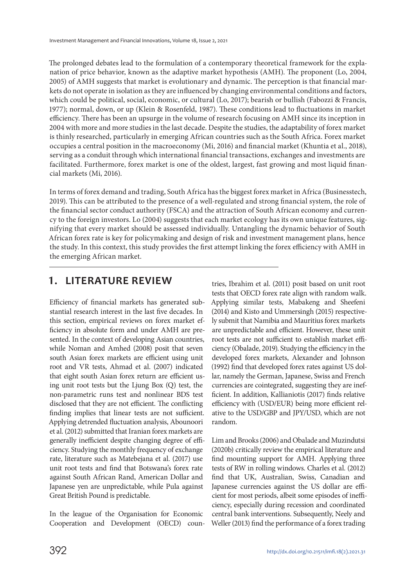The prolonged debates lead to the formulation of a contemporary theoretical framework for the explanation of price behavior, known as the adaptive market hypothesis (AMH). The proponent (Lo, 2004, 2005) of AMH suggests that market is evolutionary and dynamic. The perception is that financial markets do not operate in isolation as they are influenced by changing environmental conditions and factors, which could be political, social, economic, or cultural (Lo, 2017); bearish or bullish (Fabozzi & Francis, 1977); normal, down, or up (Klein & Rosenfeld, 1987). These conditions lead to fluctuations in market efficiency. There has been an upsurge in the volume of research focusing on AMH since its inception in 2004 with more and more studies in the last decade. Despite the studies, the adaptability of forex market is thinly researched, particularly in emerging African countries such as the South Africa. Forex market occupies a central position in the macroeconomy (Mi, 2016) and financial market (Khuntia et al., 2018), serving as a conduit through which international financial transactions, exchanges and investments are facilitated. Furthermore, forex market is one of the oldest, largest, fast growing and most liquid financial markets (Mi, 2016).

In terms of forex demand and trading, South Africa has the biggest forex market in Africa (Businesstech, 2019). This can be attributed to the presence of a well-regulated and strong financial system, the role of the financial sector conduct authority (FSCA) and the attraction of South African economy and currency to the foreign investors. Lo (2004) suggests that each market ecology has its own unique features, signifying that every market should be assessed individually. Untangling the dynamic behavior of South African forex rate is key for policymaking and design of risk and investment management plans, hence the study. In this context, this study provides the first attempt linking the forex efficiency with AMH in the emerging African market.

### **1. LITERATURE REVIEW**

Efficiency of financial markets has generated substantial research interest in the last five decades. In this section, empirical reviews on forex market efficiency in absolute form and under AMH are presented. In the context of developing Asian countries, while Noman and Amhed (2008) posit that seven south Asian forex markets are efficient using unit root and VR tests, Ahmad et al. (2007) indicated that eight south Asian forex return are efficient using unit root tests but the Ljung Box (Q) test, the non-parametric runs test and nonlinear BDS test disclosed that they are not efficient. The conflicting finding implies that linear tests are not sufficient. Applying detrended fluctuation analysis, Abounoori et al. (2012) submitted that Iranian forex markets are generally inefficient despite changing degree of efficiency. Studying the monthly frequency of exchange rate, literature such as Matebejana et al. (2017) use unit root tests and find that Botswana's forex rate against South African Rand, American Dollar and Japanese yen are unpredictable, while Pula against Great British Pound is predictable.

In the league of the Organisation for Economic Cooperation and Development (OECD) countries, Ibrahim et al. (2011) posit based on unit root tests that OECD forex rate align with random walk. Applying similar tests, Mabakeng and Sheefeni (2014) and Kisto and Ummersingh (2015) respectively submit that Namibia and Mauritius forex markets are unpredictable and efficient. However, these unit root tests are not sufficient to establish market efficiency (Obalade, 2019). Studying the efficiency in the developed forex markets, Alexander and Johnson (1992) find that developed forex rates against US dollar, namely the German, Japanese, Swiss and French currencies are cointegrated, suggesting they are inefficient. In addition, Kallianiotis (2017) finds relative efficiency with (USD/EUR) being more efficient relative to the USD/GBP and JPY/USD, which are not random.

Lim and Brooks (2006) and Obalade and Muzindutsi (2020b) critically review the empirical literature and find mounting support for AMH. Applying three tests of RW in rolling windows. Charles et al. (2012) find that UK, Australian, Swiss, Canadian and Japanese currencies against the US dollar are efficient for most periods, albeit some episodes of inefficiency, especially during recession and coordinated central bank interventions. Subsequently, Neely and Weller (2013) find the performance of a forex trading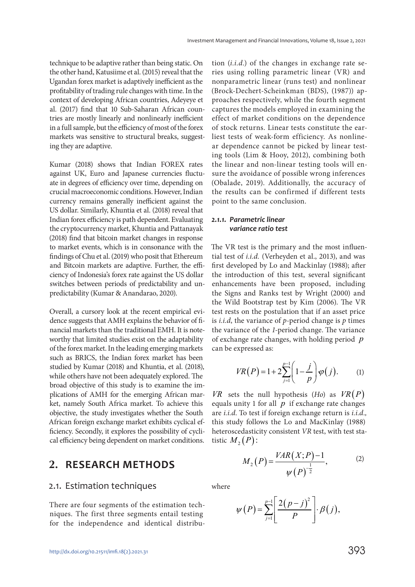technique to be adaptive rather than being static. On the other hand, Katusiime et al. (2015) reveal that the Ugandan forex market is adaptively inefficient as the profitability of trading rule changes with time. In the context of developing African countries, Adeyeye et al. (2017) find that 10 Sub-Saharan African countries are mostly linearly and nonlinearly inefficient in a full sample, but the efficiency of most of the forex markets was sensitive to structural breaks, suggesting they are adaptive.

Kumar (2018) shows that Indian FOREX rates against UK, Euro and Japanese currencies fluctuate in degrees of efficiency over time, depending on crucial macroeconomic conditions. However, Indian currency remains generally inefficient against the US dollar. Similarly, Khuntia et al. (2018) reveal that Indian forex efficiency is path dependent. Evaluating the cryptocurrency market, Khuntia and Pattanayak (2018) find that bitcoin market changes in response to market events, which is in consonance with the findings of Chu et al. (2019) who posit that Ethereum and Bitcoin markets are adaptive. Further, the efficiency of Indonesia's forex rate against the US dollar switches between periods of predictability and unpredictability (Kumar & Anandarao, 2020).

Overall, a cursory look at the recent empirical evidence suggests that AMH explains the behavior of financial markets than the traditional EMH. It is noteworthy that limited studies exist on the adaptability of the forex market. In the leading emerging markets such as BRICS, the Indian forex market has been studied by Kumar (2018) and Khuntia, et al. (2018), while others have not been adequately explored. The broad objective of this study is to examine the implications of AMH for the emerging African market, namely South Africa market. To achieve this objective, the study investigates whether the South African foreign exchange market exhibits cyclical efficiency. Secondly, it explores the possibility of cyclical efficiency being dependent on market conditions.

### **2. RESEARCH METHODS**

#### 2.1. Estimation techniques

There are four segments of the estimation techniques. The first three segments entail testing for the independence and identical distribution  $(i.i.d.)$  of the changes in exchange rate series using rolling parametric linear (VR) and nonparametric linear (runs test) and nonlinear (Brock-Dechert-Scheinkman (BDS), (1987)) approaches respectively, while the fourth segment captures the models employed in examining the effect of market conditions on the dependence of stock returns. Linear tests constitute the earliest tests of weak-form efficiency. As nonlinear dependence cannot be picked by linear testing tools (Lim & Hooy, 2012), combining both the linear and non-linear testing tools will ensure the avoidance of possible wrong inferences (Obalade, 2019). Additionally, the accuracy of the results can be confirmed if different tests point to the same conclusion.

#### *2.1.1. Parametric linear variance ratio test*

The VR test is the primary and the most influential test of *i.i.d.* (Verheyden et al., 2013), and was first developed by Lo and Mackinlay (1988); after the introduction of this test, several significant enhancements have been proposed, including the Signs and Ranks test by Wright (2000) and the Wild Bootstrap test by Kim (2006). The VR test rests on the postulation that if an asset price is *i.i.d*, the variance of *p*-period change is *p* times the variance of the 1-period change. The variance of exchange rate changes, with holding period *p* can be expressed as:

$$
VR(P) = 1 + 2\sum_{j=1}^{p-1} \left(1 - \frac{j}{p}\right)\varphi(j). \tag{1}
$$

 $VR$  sets the null hypothesis (Ho) as  $VR(P)$ equals unity 1 for all *p* if exchange rate changes are *i.i.d*. To test if foreign exchange return is *i.i.d.*, this study follows the Lo and MacKinlay (1988) heteroscedasticity consistent VR test, with test statistic  $M_2(P)$ :

$$
M_2(P) = \frac{VAR(X; P) - 1}{\psi(P)^{\frac{1}{2}}},
$$
 (2)

where

$$
\psi(P) = \sum_{j=1}^{p-1} \left[ \frac{2(p-j)^2}{P} \right] \cdot \beta(j),
$$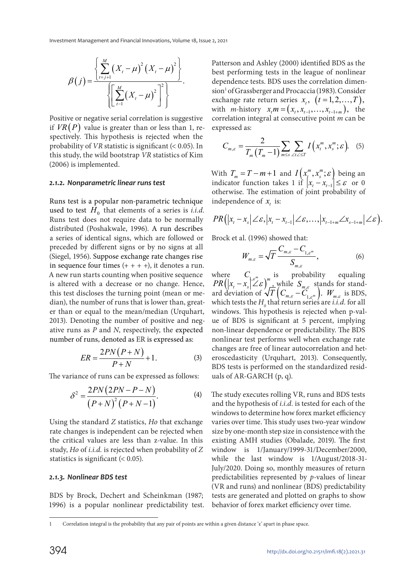$$
\beta(j) = \frac{\left\{ \sum_{t=j+1}^{M} (X_t - \mu)^2 (X_t - \mu)^2 \right\}}{\left\{ \left[ \sum_{t=1}^{M} (X_t - \mu)^2 \right]^2 \right\}}.
$$

Positive or negative serial correlation is suggestive if  $VR(P)$  value is greater than or less than 1, respectively. This hypothesis is rejected when the probability of *VR* statistic is significant  $(< 0.05)$ . In this study, the wild bootstrap VR statistics of Kim (2006) is implemented.

#### *2.1.2. Nonparametric linear runs test*

Runs test is a popular non-parametric technique used to test  $H_0$  that elements of a series is *i.i.d.* Runs test does not require data to be normally distributed (Poshakwale, 1996). A run describes a series of identical signs, which are followed or preceded by different signs or by no signs at all (Siegel, 1956). Suppose exchange rate changes rise in sequence four times  $(+ + + +)$ , it denotes a run. A new run starts counting when positive sequence is altered with a decrease or no change. Hence, this test discloses the turning point (mean or median), the number of runs that is lower than, greater than or equal to the mean/median (Urquhart, 2013). Denoting the number of positive and negative runs as P and N, respectively, the expected number of runs, denoted as ER is expressed as:

$$
ER = \frac{2PN(P+N)}{P+N} + 1.
$$
 (3)

The variance of runs can be expressed as follows:

$$
\delta^2 = \frac{2PN(2PN - P - N)}{(P + N)^2 (P + N - 1)}.
$$
\n(4)

Using the standard Z statistics, Ho that exchange rate changes is independent can be rejected when the critical values are less than z-value. In this study, Ho of *i.i.d.* is rejected when probability of Z statistics is significant (< 0.05).

#### *2.1.3. Nonlinear BDS test*

BDS by Brock, Dechert and Scheinkman (1987; 1996) is a popular nonlinear predictability test. Patterson and Ashley (2000) identified BDS as the best performing tests in the league of nonlinear dependence tests. BDS uses the correlation dimension<sup>1</sup> of Grassberger and Procaccia (1983). Consider exchange rate return series  $x_t$ ,  $(t = 1, 2, ..., T)$ , with *m*-history  $x_i m = ( x_i, x_{i-1}, \ldots, x_{i-1+m} )$ , the correlation integral at consecutive point m can be expressed as:

$$
C_{m,\varepsilon} = \frac{2}{T_m(T_m - 1)} \sum_{m \le s} \sum_{\angle t \angle \le T} I\left(x_i^m, x_s^m; \varepsilon\right). \tag{5}
$$

With  $T_m = T - m + 1$  and  $I(x_l^m, x_s^m; \varepsilon)$  being an indicator function takes 1 if  $|x_t - x_{t-1}| \leq \varepsilon$  or 0 otherwise. The estimation of joint probability of independence of  $x_t$  is:

$$
PR(|x_{t}-x_{s}|\angle \varepsilon, |x_{t}-x_{t-1}|\angle \varepsilon, ..., |x_{t-1+m}\angle x_{s-1+m}|\angle \varepsilon).
$$

Brock et al. (1996) showed that:

$$
W_{m,\varepsilon} = \sqrt{T} \, \frac{C_{m,\varepsilon} - C_{1,\varepsilon^m}}{S_{m,\varepsilon}},\tag{6}
$$

where  $C_{1,\varepsilon^m}$  is probability equaling<br>  $PR(|x_t - x_s|^2 \mathcal{L}\varepsilon)$  while  $S_{m,\varepsilon}$  stands for stand-<br>
and deviation of  $\sqrt{T}(C_{m,\varepsilon} - C_{1,\varepsilon^m})$ .  $W_{m,\varepsilon}$  is BDS, which tests the  $H_0$  that return series are *i.i.d.* for all windows. This hypothesis is rejected when p-value of BDS is significant at 5 percent, implying non-linear dependence or predictability. The BDS nonlinear test performs well when exchange rate changes are free of linear autocorrelation and heteroscedasticity (Urquhart, 2013). Consequently, BDS tests is performed on the standardized residuals of AR-GARCH (p, q).

The study executes rolling VR, runs and BDS tests and the hypothesis of *i.i.d.* is tested for each of the windows to determine how forex market efficiency varies over time. This study uses two-year window size by one-month step size in consistence with the existing AMH studies (Obalade, 2019). The first window is 1/January/1999-31/December/2000, while the last window is 1/August/2018-31- July/2020. Doing so, monthly measures of return predictabilities represented by p-values of linear (VR and runs) and nonlinear (BDS) predictability tests are generated and plotted on graphs to show behavior of forex market efficiency over time.

<sup>1</sup> Correlation integral is the probability that any pair of points are within a given distance 'ε' apart in phase space.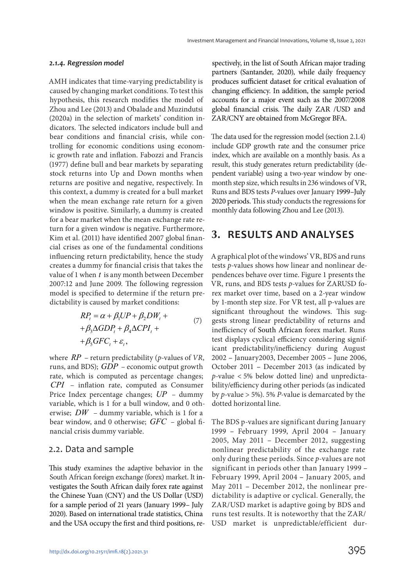#### *2.1.4. Regression model*

AMH indicates that time-varying predictability is caused by changing market conditions. To test this hypothesis, this research modifies the model of Zhou and Lee (2013) and Obalade and Muzindutsi (2020a) in the selection of markets' condition indicators. The selected indicators include bull and bear conditions and financial crisis, while controlling for economic conditions using economic growth rate and inflation. Fabozzi and Francis (1977) define bull and bear markets by separating stock returns into Up and Down months when returns are positive and negative, respectively. In this context, a dummy is created for a bull market when the mean exchange rate return for a given window is positive. Similarly, a dummy is created for a bear market when the mean exchange rate return for a given window is negative. Furthermore, Kim et al. (2011) have identified 2007 global financial crises as one of the fundamental conditions influencing return predictability, hence the study creates a dummy for financial crisis that takes the value of 1 when *t* is any month between December 2007:12 and June 2009. The following regression model is specified to determine if the return predictability is caused by market conditions:

$$
RPt = \alpha + \beta_1 UP + \beta_2 DW_t +
$$
  
+  $\beta_3 \Delta GDP_t + \beta_4 \Delta CPL_t +$   
+  $\beta_5 GFC_t + \varepsilon_t$ , (7)

where  $RP$  – return predictability (*p*-values of *VR*, runs, and BDS); *GDP* – economic output growth rate, which is computed as percentage changes; *CPI* – inflation rate, computed as Consumer Price Index percentage changes; *UP* – dummy variable, which is 1 for a bull window, and 0 otherwise; *DW* – dummy variable, which is 1 for a bear window, and 0 otherwise; *GFC* – global financial crisis dummy variable.

### 2.2. Data and sample

This study examines the adaptive behavior in the South African foreign exchange (forex) market. It investigates the South African daily forex rate against the Chinese Yuan (CNY) and the US Dollar (USD) for a sample period of 21 years (January 1999– July 2020). Based on international trade statistics, China and the USA occupy the first and third positions, respectively, in the list of South African major trading partners (Santander, 2020), while daily frequency produces sufficient dataset for critical evaluation of changing efficiency. In addition, the sample period accounts for a major event such as the 2007/2008 global financial crisis. The daily ZAR /USD and ZAR/CNY are obtained from McGregor BFA.

The data used for the regression model (section 2.1.4) include GDP growth rate and the consumer price index, which are available on a monthly basis. As a result, this study generates return predictability (dependent variable) using a two-year window by onemonth step size, which results in 236 windows of VR, Runs and BDS tests P-values over January 1999–July 2020 periods. This study conducts the regressions for monthly data following Zhou and Lee (2013).

### **3. RESULTS AND ANALYSES**

A graphical plot of the windows' VR, BDS and runs tests p-values shows how linear and nonlinear dependences behave over time. Figure 1 presents the VR, runs, and BDS tests p-values for ZARUSD forex market over time, based on a 2-year window by 1-month step size. For VR test, all p-values are significant throughout the windows. This suggests strong linear predictability of returns and inefficiency of South African forex market. Runs test displays cyclical efficiency considering significant predictability/inefficiency during August 2002 – January2003, December 2005 – June 2006, October 2011 – December 2013 (as indicated by p-value < 5% below dotted line) and unpredictability/efficiency during other periods (as indicated by *p*-value  $> 5\%$ ). 5% *P*-value is demarcated by the dotted horizontal line.

The BDS p-values are significant during January 1999 – February 1999, April 2004 – January 2005, May 2011 – December 2012, suggesting nonlinear predictability of the exchange rate only during these periods. Since p-values are not significant in periods other than January 1999 – February 1999, April 2004 – January 2005, and May 2011 – December 2012, the nonlinear predictability is adaptive or cyclical. Generally, the ZAR/USD market is adaptive going by BDS and runs test results. It is noteworthy that the ZAR/ USD market is unpredictable/efficient dur-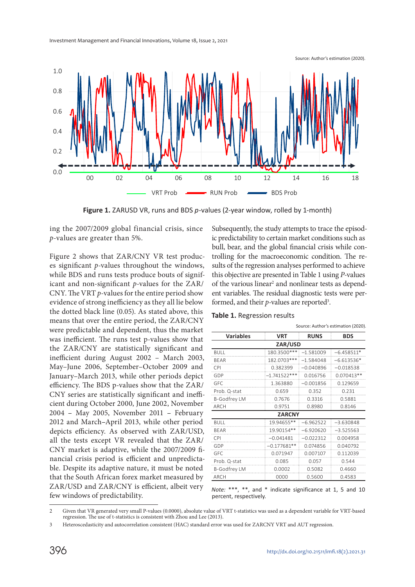

**Figure 1.** ZARUSD VR, runs and BDS *p*-values (2-year window, rolled by 1-month)

ing the 2007/2009 global financial crisis, since p-values are greater than 5%.

Figure 2 shows that ZAR/CNY VR test produces significant p-values throughout the windows, while BDS and runs tests produce bouts of significant and non-significant p-values for the ZAR/ CNY. The VRT  $p$ -values for the entire period show evidence of strong inefficiency as they all lie below the dotted black line (0.05). As stated above, this means that over the entire period, the ZAR/CNY were predictable and dependent, thus the market was inefficient. The runs test p-values show that the ZAR/CNY are statistically significant and inefficient during August 2002 – March 2003, May–June 2006, September–October 2009 and January–March 2013, while other periods depict efficiency. The BDS p-values show that the ZAR/ CNY series are statistically significant and inefficient during October 2000, June 2002, November 2004 – May 2005, November 2011 – February 2012 and March–April 2013, while other period depicts efficiency. As observed with ZAR/USD, all the tests except VR revealed that the ZAR/ CNY market is adaptive, while the 2007/2009 financial crisis period is efficient and unpredictable. Despite its adaptive nature, it must be noted that the South African forex market measured by ZAR/USD and ZAR/CNY is efficient, albeit very few windows of predictability.

Subsequently, the study attempts to trace the episodic predictability to certain market conditions such as bull, bear, and the global financial crisis while controlling for the macroeconomic condition. The results of the regression analyses performed to achieve this objective are presented in Table 1 using P-values of the various linear<sup>2</sup> and nonlinear tests as dependent variables. The residual diagnostic tests were performed, and their  $p$ -values are reported<sup>3</sup>.

|  |  | Table 1. Regression results |  |
|--|--|-----------------------------|--|
|--|--|-----------------------------|--|

| Source: Author's estimation (2020). |                |             |              |  |  |  |
|-------------------------------------|----------------|-------------|--------------|--|--|--|
| <b>Variables</b>                    | <b>VRT</b>     | <b>RUNS</b> | <b>BDS</b>   |  |  |  |
| ZAR/USD                             |                |             |              |  |  |  |
| BULL.                               | 180.3500 ***   | $-1.581009$ | $-6.458511*$ |  |  |  |
| <b>BFAR</b>                         | 182.0703***    | $-1.584048$ | $-6.613536*$ |  |  |  |
| CPI                                 | 0.382399       | $-0.040896$ | $-0.018538$  |  |  |  |
| GDP                                 | $-1.741522***$ | 0.016756    | $0.070413**$ |  |  |  |
| <b>GFC</b>                          | 1.363880       | $-0.001856$ | 0.129659     |  |  |  |
| Prob. Q-stat                        | 0.659          | 0.352       | 0.231        |  |  |  |
| <b>B-Godfrey LM</b>                 | 0.7676         | 0.3316      | 0.5881       |  |  |  |
| <b>ARCH</b>                         | 0.9751         | 0.8980      | 0.8146       |  |  |  |
| <b>ZARCNY</b>                       |                |             |              |  |  |  |
| BULL.                               | 19.94655**     | $-6.962522$ | $-3.630848$  |  |  |  |
| <b>BFAR</b>                         | 19.90154**     | $-6.920620$ | $-3.525563$  |  |  |  |
| CPI                                 | $-0.041481$    | $-0.022312$ | 0.004958     |  |  |  |
| GDP                                 | $-0.177681**$  | 0.074856    | 0.040792     |  |  |  |
| <b>GFC</b>                          | 0.071947       | 0.007107    | 0.112039     |  |  |  |
| Prob. Q-stat                        | 0.085          | 0.057       | 0.544        |  |  |  |
| <b>B-Godfrey LM</b>                 | 0.0002         | 0.5082      | 0.4660       |  |  |  |
| ARCH                                | 0000           | 0.5600      | 0.4583       |  |  |  |

*Note:* \*\*\*, \*\*, and \* indicate significance at 1, 5 and 10 percent, respectively.

<sup>2</sup> Given that VR generated very small P-values (0.0000), absolute value of VRT t-statistics was used as a dependent variable for VRT-based regression. The use of t-statistics is consistent with Zhou and Lee (2013).

<sup>3</sup> Heteroscedasticity and autocorrelation consistent (HAC) standard error was used for ZARCNY VRT and AUT regression.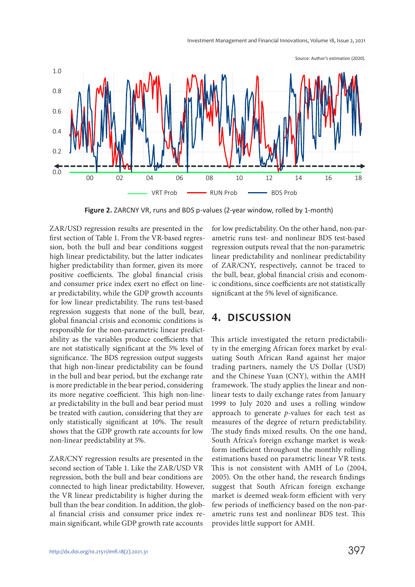Investment Management and Financial Innovations, Volume 18, Issue 2, 2021



**Figure 2.** ZARCNY VR, runs and BDS p-values (2-year window, rolled by 1-month)

ZAR/USD regression results are presented in the first section of Table 1. From the VR-based regression, both the bull and bear conditions suggest high linear predictability, but the latter indicates higher predictability than former, given its more positive coefficients. The global financial crisis and consumer price index exert no effect on linear predictability, while the GDP growth accounts for low linear predictability. The runs test-based regression suggests that none of the bull, bear, global financial crisis and economic conditions is responsible for the non-parametric linear predictability as the variables produce coefficients that are not statistically significant at the 5% level of significance. The BDS regression output suggests that high non-linear predictability can be found in the bull and bear period, but the exchange rate is more predictable in the bear period, considering its more negative coefficient. This high non-linear predictability in the bull and bear period must be treated with caution, considering that they are only statistically significant at 10%. The result shows that the GDP growth rate accounts for low non-linear predictability at 5%.

ZAR/CNY regression results are presented in the second section of Table 1. Like the ZAR/USD VR regression, both the bull and bear conditions are connected to high linear predictability. However, the VR linear predictability is higher during the bull than the bear condition. In addition, the global financial crisis and consumer price index remain significant, while GDP growth rate accounts

for low predictability. On the other hand, non-parametric runs test- and nonlinear BDS test-based regression outputs reveal that the non-parametric linear predictability and nonlinear predictability of ZAR/CNY, respectively, cannot be traced to the bull, bear, global financial crisis and economic conditions, since coefficients are not statistically significant at the 5% level of significance.

### **4. DISCUSSION**

This article investigated the return predictability in the emerging African forex market by evaluating South African Rand against her major trading partners, namely the US Dollar (USD) and the Chinese Yuan (CNY), within the AMH framework. The study applies the linear and nonlinear tests to daily exchange rates from January 1999 to July 2020 and uses a rolling window approach to generate p-values for each test as measures of the degree of return predictability. The study finds mixed results. On the one hand, South Africa's foreign exchange market is weakform inefficient throughout the monthly rolling estimations based on parametric linear VR tests. This is not consistent with AMH of Lo (2004, 2005). On the other hand, the research findings suggest that South African foreign exchange market is deemed weak-form efficient with very few periods of inefficiency based on the non-parametric runs test and nonlinear BDS test. This provides little support for AMH.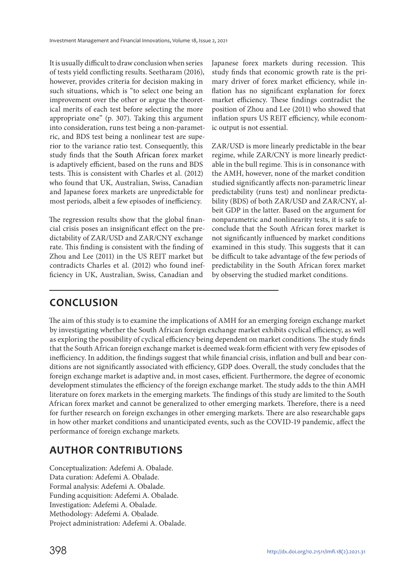It is usually difficult to draw conclusion when series of tests yield conflicting results. Seetharam (2016), however, provides criteria for decision making in such situations, which is "to select one being an improvement over the other or argue the theoretical merits of each test before selecting the more appropriate one" (p. 307). Taking this argument into consideration, runs test being a non-parametric, and BDS test being a nonlinear test are superior to the variance ratio test. Consequently, this study finds that the South African forex market is adaptively efficient, based on the runs and BDS tests. This is consistent with Charles et al. (2012) who found that UK, Australian, Swiss, Canadian and Japanese forex markets are unpredictable for most periods, albeit a few episodes of inefficiency.

The regression results show that the global financial crisis poses an insignificant effect on the predictability of ZAR/USD and ZAR/CNY exchange rate. This finding is consistent with the finding of Zhou and Lee (2011) in the US REIT market but contradicts Charles et al. (2012) who found inefficiency in UK, Australian, Swiss, Canadian and

Japanese forex markets during recession. This study finds that economic growth rate is the primary driver of forex market efficiency, while inflation has no significant explanation for forex market efficiency. These findings contradict the position of Zhou and Lee (2011) who showed that inflation spurs US REIT efficiency, while economic output is not essential.

ZAR/USD is more linearly predictable in the bear regime, while ZAR/CNY is more linearly predictable in the bull regime. This is in consonance with the AMH, however, none of the market condition studied significantly affects non-parametric linear predictability (runs test) and nonlinear predictability (BDS) of both ZAR/USD and ZAR/CNY, albeit GDP in the latter. Based on the argument for nonparametric and nonlinearity tests, it is safe to conclude that the South African forex market is not significantly influenced by market conditions examined in this study. This suggests that it can be difficult to take advantage of the few periods of predictability in the South African forex market by observing the studied market conditions.

## **CONCLUSION**

The aim of this study is to examine the implications of AMH for an emerging foreign exchange market by investigating whether the South African foreign exchange market exhibits cyclical efficiency, as well as exploring the possibility of cyclical efficiency being dependent on market conditions. The study finds that the South African foreign exchange market is deemed weak-form efficient with very few episodes of inefficiency. In addition, the findings suggest that while financial crisis, inflation and bull and bear conditions are not significantly associated with efficiency, GDP does. Overall, the study concludes that the foreign exchange market is adaptive and, in most cases, efficient. Furthermore, the degree of economic development stimulates the efficiency of the foreign exchange market. The study adds to the thin AMH literature on forex markets in the emerging markets. The findings of this study are limited to the South African forex market and cannot be generalized to other emerging markets. Therefore, there is a need for further research on foreign exchanges in other emerging markets. There are also researchable gaps in how other market conditions and unanticipated events, such as the COVID-19 pandemic, affect the performance of foreign exchange markets.

## **AUTHOR CONTRIBUTIONS**

Conceptualization: Adefemi A. Obalade. Data curation: Adefemi A. Obalade. Formal analysis: Adefemi A. Obalade. Funding acquisition: Adefemi A. Obalade. Investigation: Adefemi A. Obalade. Methodology: Adefemi A. Obalade. Project administration: Adefemi A. Obalade.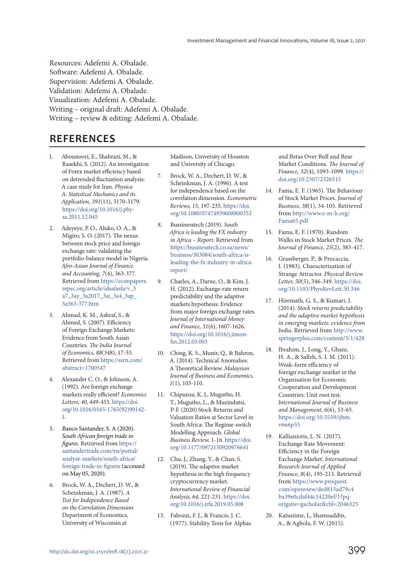Resources: Adefemi A. Obalade. Software: Adefemi A. Obalade. Supervision: Adefemi A. Obalade. Validation: Adefemi A. Obalade. Visualization: Adefemi A. Obalade. Writing – original draft: Adefemi A. Obalade. Writing – review & editing: Adefemi A. Obalade.

### **REFERENCES**

- 1. Abounoori, E., Shahrazi, M., & Rasekhi, S. (2012). An investigation of Forex market efficiency based on detrended fluctuation analysis: A case study for Iran. Physica A: Statistical Mechanics and its Application, 391(11), 3170-3179. https://doi.org/10.1016/j.physa.2011.12.045
- 2. Adeyeye, P. O., Aluko, O. A., & Migiro, S. O. (2017). The nexus between stock price and foreign exchange rate: validating the portfolio-balance model in Nigeria. Afro-Asian Journal of Finance and Accounting, 7(4), 363-377. Retrieved from https://econpapers. repec.org/article/idsafasfa/v\_3 a7\_3ay\_3a2017\_3ai\_3a4\_3ap\_ 3a363-377.htm
- 3. Ahmad, K. M., Ashraf, S., & Ahmed, S. (2007). Efficiency of Foreign Exchange Markets: Evidence from South Asian Countries. The India Journal of Economics, 88(348), 17-33. Retrieved from https://ssrn.com/ abstract=1700547
- 4. Alexander C. O., & Johnson, A. (1992). Are foreign exchange markets really efficient? Economics Letters, 40, 449-453. https://doi. org/10.1016/0165-1765(92)90142- L
- 5. Banco Santander, S. A (2020). South African foreign trade in figures. Retrieved from https:// santandertrade.com/en/portal/ analyse-markets/south-africa/ foreign-trade-in-figures (accessed on May 05, 2020).
- 6. Brock, W. A., Dechert, D. W., & Scheinkman, J. A. (1987). A Test for Independence Based on the Correlation Dimension. Department of Economics, University of Wisconsin at

Madison, University of Houston and University of Chicago.

- 7. Brock, W. A., Dechert, D. W., & Scheinkman, J. A. (1996). A test for independence based on the correlation dimension. Econometric Reviews, 15, 197-235. https://doi. org/10.1080/07474939608800353
- 8. Bussinesstech (2019). South Africa is leading the FX industry in Africa – Report. Retrieved from https://businesstech.co.za/news/ business/363084/south-africa-isleading-the-fx-industry-in-africareport/
- 9. Charles, A., Darne, O., & Kim, J. H. (2012). Exchange-rate return predictability and the adaptive markets hypothesis: Evidence from major foreign exchange rates. Journal of International Money and Finance, 31(6), 1607-1626. https://doi.org/10.1016/j.jimonfin.2012.03.003
- 10. Ching, K. S., Munir, Q., & Bahron, A. (2014). Technical Anomalies: A Theoretical Review. Malaysian Journal of Business and Economics,  $1(1), 103-110.$
- 11. Chipunza, K. J., Mugutho, H. T., Mugutho, L., & Muzindutsi, P-F. (2020) Stock Returns and Valuation Ratios at Sector Level in South Africa: The Regime-switch Modelling Approach. Global Business Review, 1-16. https://doi. org/10.1177/0972150920976641
- 12. Chu, J., Zhang, Y., & Chan, S. (2019). The adaptive market hypothesis in the high frequency cryptocurrency market. International Review of Financial Analysis, 64, 221-231. https://doi. org/10.1016/j.irfa.2019.05.008
- 13. Fabozzi, F. J., & Francis, J. C. (1977). Stability Tests for Alphas

and Betas Over Bull and Bear Market Conditions. The Journal of Finance, 32(4), 1093-1099. https:// doi.org/10.2307/2326515

- 14. Fama, E. F. (1965). The Behaviour of Stock Market Prices. Journal of Business, 38(1), 34-105. Retrieved from http://www.e-m-h.org/ Fama65.pdf
- 15. Fama, E. F. (1970). Random Walks in Stock Market Prices. The Journal of Finance, 25(2), 383-417.
- 16. Grassberger, P., & Procaccia, I. (1983). Characterization of Strange Attractor. Physical Review Letter, 50(5), 346-349. https://doi. org/10.1103/PhysRevLett.50.346
- 17. Hiremath, G. S., & Kumari, J. (2014). Stock returns predictability and the adaptive market hypothesis in emerging markets: evidence from India. Retrieved from http://www. springerplus.com/content/3/1/428
- 18. Ibrahim, J., Long, Y., Ghani, H. A., & Salleh, S. I. M. (2011). Weak-form efficiency of foreign exchange market in the Organisation for Economic Cooperation and Development Countries: Unit root test. International Journal of Business and Management, 6(6), 53-65. https://doi.org/10.5539/ijbm. v6n6p55
- 19. Kallianiotis, L. N. (2017). Exchange Rate Movement: Efficiency in the Foreign Exchange Market. International Research Journal of Applied Finance, 8(4), 195-213. Retrieved from https://www.proquest. com/openview/ded813ad79c4 ba39e0cdaf44c14220ef/1?pqorigsite=gscholar&cbl=2046325
- 20. Katusiime, L, Shamsuddin, A., & Agbola, F. W. (2015).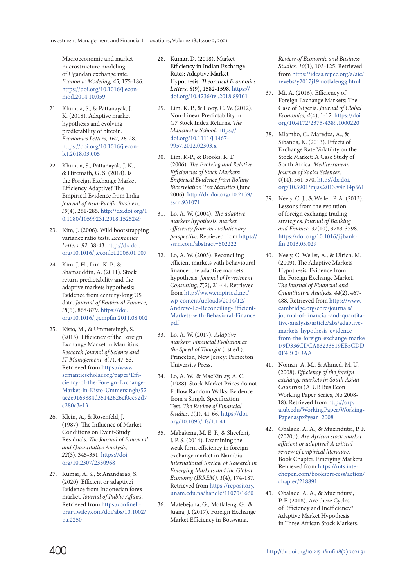Macroeconomic and market microstructure modeling of Ugandan exchange rate. Economic Modeling, 45, 175-186. https://doi.org/10.1016/j.econmod.2014.10.059

- 21. Khuntia, S., & Pattanayak, J. K. (2018). Adaptive market hypothesis and evolving predictability of bitcoin. Economics Letters, 167, 26-28. https://doi.org/10.1016/j.econlet.2018.03.005
- 22. Khuntia, S., Pattanayak, J. K., & Hiremath, G. S. (2018). Is the Foreign Exchange Market Efficiency Adaptive? The Empirical Evidence from India. Journal of Asia-Pacific Business, 19(4), 261-285. http://dx.doi.org/1 0.1080/10599231.2018.1525249
- 23. Kim, J. (2006). Wild bootstrapping variance ratio tests. Economics Letters, 92, 38-43. http://dx.doi. org/10.1016/j.econlet.2006.01.007
- 24. Kim, J. H., Lim, K. P., & Shamsuddin, A. (2011). Stock return predictability and the adaptive markets hypothesis: Evidence from century-long US data. Journal of Empirical Finance, 18(5), 868-879. https://doi. org/10.1016/j.jempfin.2011.08.002
- 25. Kisto, M., & Ummersingh, S. (2015). Efficiency of the Foreign Exchange Market in Mauritius. Research Journal of Science and IT Management, 4(7), 47-53. Retrieved from https://www. semanticscholar.org/paper/Efficiency-of-the-Foreign-Exchange-Market-in-Kisto-Ummersingh/52 ae2e0163884d35142626ef0cc92d7 c280c3e13
- 26. Klein, A., & Rosenfeld, J. (1987). The Influence of Market Conditions on Event-Study Residuals. The Journal of Financial and Quantitative Analysis, 22(3), 345-351. https://doi. org/10.2307/2330968
- 27. Kumar, A. S., & Anandarao, S. (2020). Efficient or adaptive? Evidence from Indonesian forex market. Journal of Public Affairs. Retrieved from https://onlinelibrary.wiley.com/doi/abs/10.1002/ pa.2250
- 28. Kumar, D. (2018). Market Efficiency in Indian Exchange Rates: Adaptive Market Hypothesis. Theoretical Economics Letters, 8(9), 1582-1598. https:// doi.org/10.4236/tel.2018.89101
- 29. Lim, K. P., & Hooy, C. W. (2012). Non-Linear Predictability in G7 Stock Index Returns. The Manchester School. https:// doi.org/10.1111/j.1467- 9957.2012.02303.x
- 30. Lim, K-P., & Brooks, R. D. (2006). The Evolving and Relative Efficiencies of Stock Markets: Empirical Evidence from Rolling Bicorrelation Test Statistics (June 2006). http://dx.doi.org/10.2139/ ssrn.931071
- 31. Lo, A. W. (2004). The adaptive markets hypothesis: market efficiency from an evolutionary perspective. Retrieved from https:// ssrn.com/abstract=602222
- 32. Lo, A. W. (2005). Reconciling efficient markets with behavioural finance: the adaptive markets hypothesis. Journal of Investment Consulting, 7(2), 21-44. Retrieved from http://www.empirical.net/ wp-content/uploads/2014/12/ Andrew-Lo-Reconciling-Efficient-Markets-with-Behavioral-Finance. pdf
- 33. Lo, A. W. (2017). Adaptive markets: Financial Evolution at the Speed of Thought (1st ed.). Princeton, New Jersey: Princeton University Press.
- 34. Lo, A. W., & MacKinlay, A. C. (1988). Stock Market Prices do not Follow Random Walks: Evidence from a Simple Specification Test. The Review of Financial Studies, 1(1), 41-66. https://doi. org/10.1093/rfs/1.1.41
- 35. Mabakeng, M. E. P., & Sheefeni, J. P. S. (2014). Examining the weak form efficiency in foreign exchange market in Namibia. International Review of Research in Emerging Markets and the Global Economy (IRREM), 1(4), 174-187. Retrieved from https://repository. unam.edu.na/handle/11070/1660
- 36. Matebejana, G., Motlaleng, G., & Juana, J. (2017). Foreign Exchange Market Efficiency in Botswana.

Review of Economic and Business Studies, 10(1), 103-125. Retrieved from https://ideas.repec.org/a/aic/ revebs/y2017j19motlalengg.html

- 37. Mi, A. (2016). Efficiency of Foreign Exchange Markets: The Case of Nigeria. Journal of Global Economics, 4(4), 1-12. https://doi. org/10.4172/2375-4389.1000220
- 38. Mlambo, C., Maredza, A., & Sibanda, K. (2013). Effects of Exchange Rate Volatility on the Stock Market: A Case Study of South Africa. Mediterranean Journal of Social Sciences, 4(14), 561-570. http://dx.doi. org/10.5901/mjss.2013.v4n14p561
- 39. Neely, C. J., & Weller, P. A. (2013). Lessons from the evolution of foreign exchange trading strategies. Journal of Banking and Finance, 37(10), 3783-3798. https://doi.org/10.1016/j.jbankfin.2013.05.029
- 40. Neely, C. Weller, A., & Ulrich, M. (2009). The Adaptive Markets Hypothesis: Evidence from the Foreign Exchange Market. The Journal of Financial and Quantitative Analysis, 44(2), 467- 488. Retrieved from https://www. cambridge.org/core/journals/ journal-of-financial-and-quantitative-analysis/article/abs/adaptivemarkets-hypothesis-evidencefrom-the-foreign-exchange-marke t/9D336CDCA83233819EB5CDD 0F4BC0DAA
- 41. Noman, A. M., & Ahmed, M. U. (2008). Efficiency of the foreign exchange markets in South Asian Countries (AIUB Bus Econ Working Paper Series, No 2008- 18). Retrieved from http://orp. aiub.edu/WorkingPaper/Working-Paper.aspx?year=2008
- 42. Obalade, A. A., & Muzindutsi, P. F. (2020b). Are African stock market efficient or adaptive? A critical review of empirical literature. Book Chapter. Emerging Markets. Retrieved from https://mts.intechopen.com/booksprocess/action/ chapter/218891
- 43. Obalade, A. A., & Muzindutsi, P-F. (2018). Are there Cycles of Efficiency and Inefficiency? Adaptive Market Hypothesis in Three African Stock Markets.